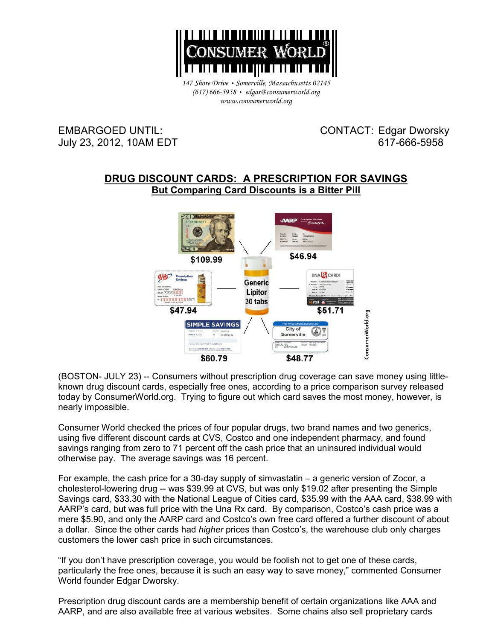

*147 Shore Drive* • *Somerville, Massachusetts 02145 (617) 666-5958* • *edgar@consumerworld.org www.consumerworld.org* 

EMBARGOED UNTIL: CONTACT: Edgar Dworsky July 23, 2012, 10AM EDT 617-666-5958

## **DRUG DISCOUNT CARDS: A PRESCRIPTION FOR SAVINGS But Comparing Card Discounts is a Bitter Pill**



(BOSTON- JULY 23) -- Consumers without prescription drug coverage can save money using littleknown drug discount cards, especially free ones, according to a price comparison survey released today by ConsumerWorld.org. Trying to figure out which card saves the most money, however, is nearly impossible.

Consumer World checked the prices of four popular drugs, two brand names and two generics, using five different discount cards at CVS, Costco and one independent pharmacy, and found savings ranging from zero to 71 percent off the cash price that an uninsured individual would otherwise pay. The average savings was 16 percent.

For example, the cash price for a 30-day supply of simvastatin – a generic version of Zocor, a cholesterol-lowering drug -- was \$39.99 at CVS, but was only \$19.02 after presenting the Simple Savings card, \$33.30 with the National League of Cities card, \$35.99 with the AAA card, \$38.99 with AARP's card, but was full price with the Una Rx card. By comparison, Costco's cash price was a mere \$5.90, and only the AARP card and Costco's own free card offered a further discount of about a dollar. Since the other cards had *higher* prices than Costco's, the warehouse club only charges customers the lower cash price in such circumstances.

"If you don't have prescription coverage, you would be foolish not to get one of these cards, particularly the free ones, because it is such an easy way to save money," commented Consumer World founder Edgar Dworsky.

Prescription drug discount cards are a membership benefit of certain organizations like AAA and AARP, and are also available free at various websites. Some chains also sell proprietary cards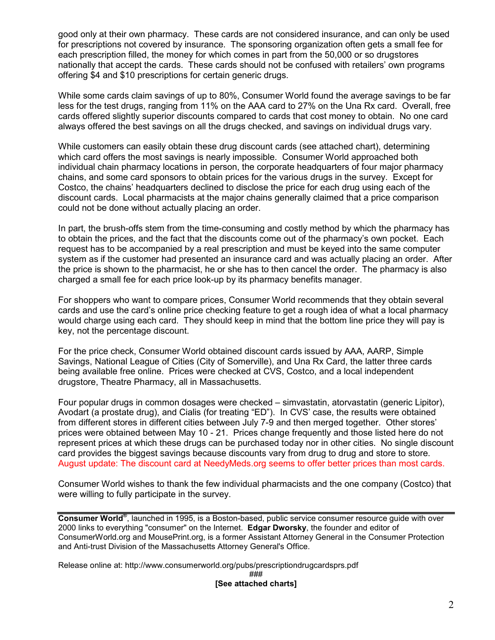good only at their own pharmacy. These cards are not considered insurance, and can only be used for prescriptions not covered by insurance. The sponsoring organization often gets a small fee for each prescription filled, the money for which comes in part from the 50,000 or so drugstores nationally that accept the cards. These cards should not be confused with retailers' own programs offering \$4 and \$10 prescriptions for certain generic drugs.

While some cards claim savings of up to 80%, Consumer World found the average savings to be far less for the test drugs, ranging from 11% on the AAA card to 27% on the Una Rx card. Overall, free cards offered slightly superior discounts compared to cards that cost money to obtain. No one card always offered the best savings on all the drugs checked, and savings on individual drugs vary.

While customers can easily obtain these drug discount cards (see attached chart), determining which card offers the most savings is nearly impossible. Consumer World approached both individual chain pharmacy locations in person, the corporate headquarters of four major pharmacy chains, and some card sponsors to obtain prices for the various drugs in the survey. Except for Costco, the chains' headquarters declined to disclose the price for each drug using each of the discount cards. Local pharmacists at the major chains generally claimed that a price comparison could not be done without actually placing an order.

In part, the brush-offs stem from the time-consuming and costly method by which the pharmacy has to obtain the prices, and the fact that the discounts come out of the pharmacy's own pocket. Each request has to be accompanied by a real prescription and must be keyed into the same computer system as if the customer had presented an insurance card and was actually placing an order. After the price is shown to the pharmacist, he or she has to then cancel the order. The pharmacy is also charged a small fee for each price look-up by its pharmacy benefits manager.

For shoppers who want to compare prices, Consumer World recommends that they obtain several cards and use the card's online price checking feature to get a rough idea of what a local pharmacy would charge using each card. They should keep in mind that the bottom line price they will pay is key, not the percentage discount.

For the price check, Consumer World obtained discount cards issued by AAA, AARP, Simple Savings, National League of Cities (City of Somerville), and Una Rx Card, the latter three cards being available free online. Prices were checked at CVS, Costco, and a local independent drugstore, Theatre Pharmacy, all in Massachusetts.

Four popular drugs in common dosages were checked – simvastatin, atorvastatin (generic Lipitor), Avodart (a prostate drug), and Cialis (for treating "ED"). In CVS' case, the results were obtained from different stores in different cities between July 7-9 and then merged together. Other stores' prices were obtained between May 10 - 21. Prices change frequently and those listed here do not represent prices at which these drugs can be purchased today nor in other cities. No single discount card provides the biggest savings because discounts vary from drug to drug and store to store. August update: The discount card at NeedyMeds.org seems to offer better prices than most cards.

Consumer World wishes to thank the few individual pharmacists and the one company (Costco) that were willing to fully participate in the survey.

**Consumer World®** , launched in 1995, is a Boston-based, public service consumer resource guide with over 2000 links to everything "consumer" on the Internet. **Edgar Dworsky**, the founder and editor of ConsumerWorld.org and MousePrint.org, is a former Assistant Attorney General in the Consumer Protection and Anti-trust Division of the Massachusetts Attorney General's Office.

Release online at: http://www.consumerworld.org/pubs/prescriptiondrugcardsprs.pdf

### **[See attached charts]**